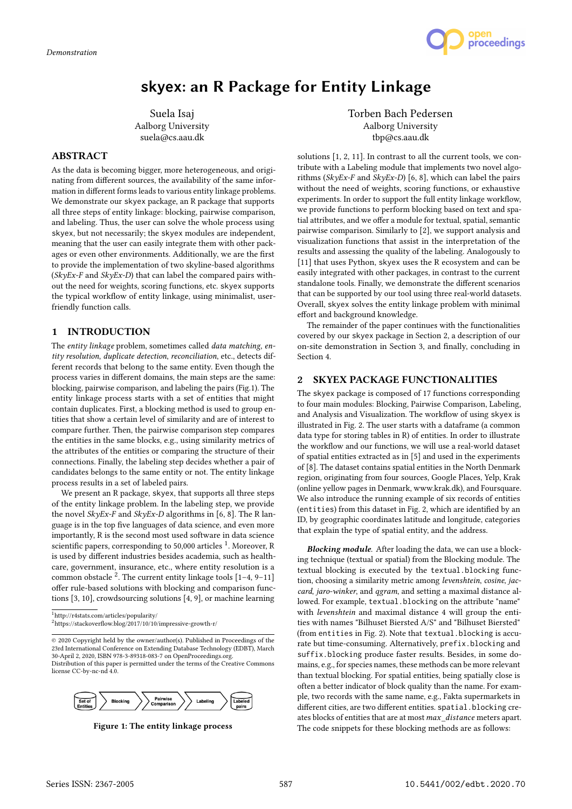

# **skyex**: an R Package for Entity Linkage

Suela Isaj Aalborg University suela@cs.aau.dk

## ABSTRACT

As the data is becoming bigger, more heterogeneous, and originating from different sources, the availability of the same information in different forms leads to various entity linkage problems. We demonstrate our skyex package, an R package that supports all three steps of entity linkage: blocking, pairwise comparison, and labeling. Thus, the user can solve the whole process using skyex, but not necessarily; the skyex modules are independent, meaning that the user can easily integrate them with other packages or even other environments. Additionally, we are the first to provide the implementation of two skyline-based algorithms  $(SkyEx-F$  and  $SkyEx-D$ ) that can label the compared pairs without the need for weights, scoring functions, etc. skyex supports the typical workflow of entity linkage, using minimalist, userfriendly function calls.

## 1 INTRODUCTION

The entity linkage problem, sometimes called data matching, entity resolution, duplicate detection, reconciliation, etc., detects different records that belong to the same entity. Even though the process varies in different domains, the main steps are the same: blocking, pairwise comparison, and labeling the pairs (Fig.1). The entity linkage process starts with a set of entities that might contain duplicates. First, a blocking method is used to group entities that show a certain level of similarity and are of interest to compare further. Then, the pairwise comparison step compares the entities in the same blocks, e.g., using similarity metrics of the attributes of the entities or comparing the structure of their connections. Finally, the labeling step decides whether a pair of candidates belongs to the same entity or not. The entity linkage process results in a set of labeled pairs.

We present an R package, skyex, that supports all three steps of the entity linkage problem. In the labeling step, we provide the novel SkyEx-F and SkyEx-D algorithms in [6, 8]. The R language is in the top five languages of data science, and even more importantly, R is the second most used software in data science scientific papers, corresponding to 50,000 articles <sup>1</sup>. Moreover, R is used by different industries besides academia, such as healthcare, government, insurance, etc., where entity resolution is a common obstacle  $2$ . The current entity linkage tools  $[1-4, 9-11]$ offer rule-based solutions with blocking and comparison functions [3, 10], crowdsourcing solutions [4, 9], or machine learning

© 2020 Copyright held by the owner/author(s). Published in Proceedings of the 23rd International Conference on Extending Database Technology (EDBT), March 30-April 2, 2020, ISBN 978-3-89318-083-7 on OpenProceedings.org. Distribution of this paper is permitted under the terms of the Creative Commons license CC-by-nc-nd 4.0.



Figure 1: The entity linkage process

Torben Bach Pedersen Aalborg University tbp@cs.aau.dk

solutions [1, 2, 11]. In contrast to all the current tools, we contribute with a Labeling module that implements two novel algorithms ( $SkvEx-F$  and  $SkvEx-D$ ) [6, 8], which can label the pairs without the need of weights, scoring functions, or exhaustive experiments. In order to support the full entity linkage workflow, we provide functions to perform blocking based on text and spatial attributes, and we offer a module for textual, spatial, semantic pairwise comparison. Similarly to [2], we support analysis and visualization functions that assist in the interpretation of the results and assessing the quality of the labeling. Analogously to [11] that uses Python, skyex uses the R ecosystem and can be easily integrated with other packages, in contrast to the current standalone tools. Finally, we demonstrate the different scenarios that can be supported by our tool using three real-world datasets. Overall, skyex solves the entity linkage problem with minimal effort and background knowledge.

The remainder of the paper continues with the functionalities covered by our skyex package in Section 2, a description of our on-site demonstration in Section 3, and finally, concluding in Section 4.

#### 2 SKYEX PACKAGE FUNCTIONALITIES

The skyex package is composed of 17 functions corresponding to four main modules: Blocking, Pairwise Comparison, Labeling, and Analysis and Visualization. The workflow of using skyex is illustrated in Fig. 2. The user starts with a dataframe (a common data type for storing tables in R) of entities. In order to illustrate the workflow and our functions, we will use a real-world dataset of spatial entities extracted as in [5] and used in the experiments of [8]. The dataset contains spatial entities in the North Denmark region, originating from four sources, Google Places, Yelp, Krak (online yellow pages in Denmark, www.krak.dk), and Foursquare. We also introduce the running example of six records of entities (entities) from this dataset in Fig. 2, which are identified by an ID, by geographic coordinates latitude and longitude, categories that explain the type of spatial entity, and the address.

Blocking module. After loading the data, we can use a blocking technique (textual or spatial) from the Blocking module. The textual blocking is executed by the textual.blocking function, choosing a similarity metric among levenshtein, cosine, jaccard, jaro-winker, and qgram, and setting a maximal distance allowed. For example, textual.blocking on the attribute "name" with levenshtein and maximal distance 4 will group the entities with names "Bilhuset Biersted A/S" and "Bilhuset Biersted" (from entities in Fig. 2). Note that textual.blocking is accurate but time-consuming. Alternatively, prefix.blocking and suffix.blocking produce faster results. Besides, in some domains, e.g., for species names, these methods can be more relevant than textual blocking. For spatial entities, being spatially close is often a better indicator of block quality than the name. For example, two records with the same name, e.g., Fakta supermarkets in different cities, are two different entities. spatial.blocking creates blocks of entities that are at most max\_distance meters apart. The code snippets for these blocking methods are as follows:

<sup>1</sup>http://r4stats.com/articles/popularity/  $^2$ https://stackoverflow.blog/2017/10/10/impressive-growth-r/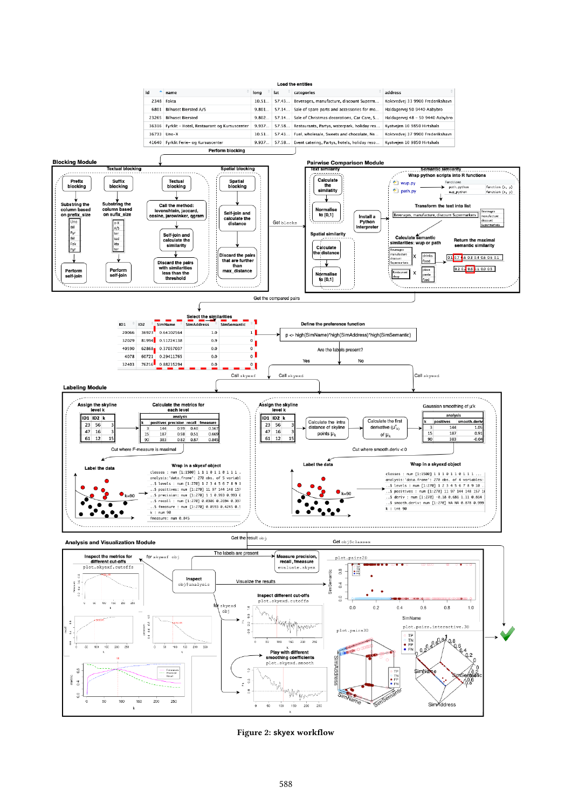

Figure 2: skyex workflow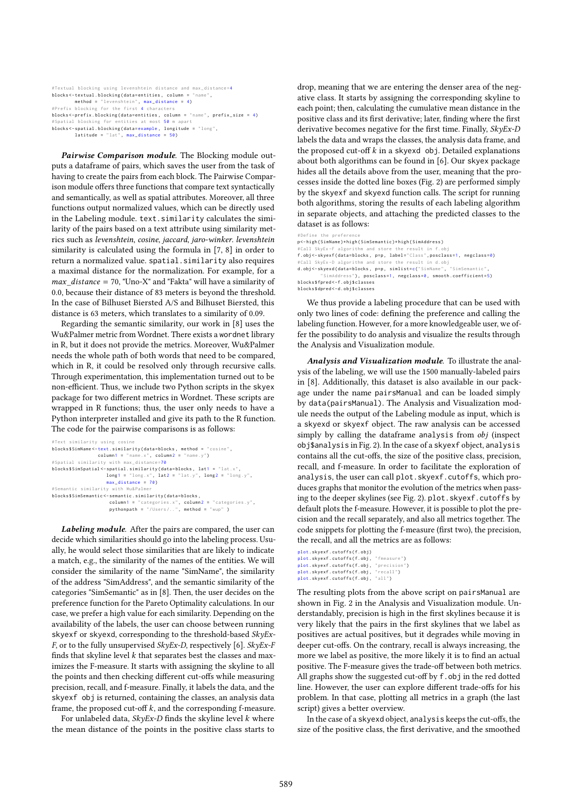| #Textual blocking using levenshtein distance and max_distance=4          |
|--------------------------------------------------------------------------|
| $blocks < -text{textual}$ . blocking (data=entities, column = "name",    |
| method = "levenshtein", max distance = 4)                                |
| #Prefix blocking for the first 4 characters                              |
| blocks<-prefix.blocking(data=entities, column = "name", prefix_size = 4) |
| #Spatial blocking for entities at most 50 m apart                        |
| blocks<-spatial.blocking(data=example, longitude = "long",               |
| $lattice = "lat", max_distance = 50)$                                    |

Pairwise Comparison module. The Blocking module outputs a dataframe of pairs, which saves the user from the task of having to create the pairs from each block. The Pairwise Comparison module offers three functions that compare text syntactically and semantically, as well as spatial attributes. Moreover, all three functions output normalized values, which can be directly used in the Labeling module. text.similarity calculates the similarity of the pairs based on a text attribute using similarity metrics such as levenshtein, cosine, jaccard, jaro-winker. levenshtein similarity is calculated using the formula in [7, 8] in order to return a normalized value. spatial.similarity also requires a maximal distance for the normalization. For example, for a  $max\_distance = 70$ , "Uno-X" and "Fakta" will have a similarity of 0.0, because their distance of 83 meters is beyond the threshold. In the case of Bilhuset Biersted A/S and Bilhuset Biersted, this distance is 63 meters, which translates to a similarity of 0.09.

Regarding the semantic similarity, our work in [8] uses the Wu&Palmer metric from Wordnet. There exists a wordnet library in R, but it does not provide the metrics. Moreover, Wu&Palmer needs the whole path of both words that need to be compared, which in R, it could be resolved only through recursive calls. Through experimentation, this implementation turned out to be non-efficient. Thus, we include two Python scripts in the skyex package for two different metrics in Wordnet. These scripts are wrapped in R functions; thus, the user only needs to have a Python interpreter installed and give its path to the R function. The code for the pairwise comparisons is as follows:

```
ext similarity using o
blocks$SimName<-text.similarity(data=blocks, method = "cosine",
column1 = "name.x", column2 = "name.y")<br>#Spatial similarity with max_distance=70
blocks$SimSpatial <- spatial .similarity (data=blocks, lat1 = "lat.x",
                         long1 = "long.x", lat2 = "lat.y", long2 = "long.y",<br>max_distance = 70)
# Semantic similarity with Wu& Palmer
blocks $ SimSemantic < - semantic . similarity ( data = blocks ,
                          column1 = "categories.x", column2 = "categories.y",<br>pythonpath = "/Users/..", method = "wup" )
```
Labeling module. After the pairs are compared, the user can decide which similarities should go into the labeling process. Usually, he would select those similarities that are likely to indicate a match, e.g., the similarity of the names of the entities. We will consider the similarity of the name "SimName", the similarity of the address "SimAddress", and the semantic similarity of the categories "SimSemantic" as in [8]. Then, the user decides on the preference function for the Pareto Optimality calculations. In our case, we prefer a high value for each similarity. Depending on the availability of the labels, the user can choose between running skyexf or skyexd, corresponding to the threshold-based SkyEx-F, or to the fully unsupervised  $SkyEx-D$ , respectively [6].  $SkyEx-F$ finds that skyline level  $k$  that separates best the classes and maximizes the F-measure. It starts with assigning the skyline to all the points and then checking different cut-offs while measuring precision, recall, and f-measure. Finally, it labels the data, and the skyexf obj is returned, containing the classes, an analysis data frame, the proposed cut-off  $k$ , and the corresponding f-measure.

For unlabeled data,  $SkyEx-D$  finds the skyline level  $k$  where the mean distance of the points in the positive class starts to drop, meaning that we are entering the denser area of the negative class. It starts by assigning the corresponding skyline to each point; then, calculating the cumulative mean distance in the positive class and its first derivative; later, finding where the first derivative becomes negative for the first time. Finally, SkyEx-D labels the data and wraps the classes, the analysis data frame, and the proposed cut-off  $k$  in a skyexd obj. Detailed explanations about both algorithms can be found in [6]. Our skyex package hides all the details above from the user, meaning that the processes inside the dotted line boxes (Fig. 2) are performed simply by the skyexf and skyexd function calls. The script for running both algorithms, storing the results of each labeling algorithm in separate objects, and attaching the predicted classes to the dataset is as follows:

# Define the preference p < - high ( SimName )\* high ( SimSemantic )\* high ( SimAddress ) # Call SkyEx -F algorithm and store the result in f f . obj < - skyexf ( data = blocks , p =p , label =" Class ", posclass =1, negclass =0) # Call SkyEx -D algorithm and store the result in d. obj d.obj <- skyexd(data=blocks, p=p, simlist=c("SimName", "SimSemantic' SimAddress"), posclass=1, negclass=0, smooth.coefficient=5) blocks \$ fpred < - f . obj \$ classes blocks \$ dpred < - d . obj \$ classes

We thus provide a labeling procedure that can be used with only two lines of code: defining the preference and calling the labeling function. However, for a more knowledgeable user, we offer the possibility to do analysis and visualize the results through the Analysis and Visualization module.

Analysis and Visualization module. To illustrate the analysis of the labeling, we will use the 1500 manually-labeled pairs in [8]. Additionally, this dataset is also available in our package under the name pairsManual and can be loaded simply by data(pairsManual). The Analysis and Visualization module needs the output of the Labeling module as input, which is a skyexd or skyexf object. The raw analysis can be accessed simply by calling the dataframe analysis from obj (inspect obj\$analysis in Fig. 2). In the case of a skyexf object, analysis contains all the cut-offs, the size of the positive class, precision, recall, and f-measure. In order to facilitate the exploration of analysis, the user can call plot.skyexf.cutoffs, which produces graphs that monitor the evolution of the metrics when passing to the deeper skylines (see Fig. 2). plot.skyexf.cutoffs by default plots the f-measure. However, it is possible to plot the precision and the recall separately, and also all metrics together. The code snippets for plotting the f-measure (first two), the precision, the recall, and all the metrics are as follows:

```
plot skyexf cutoffs (f_0, b_1)plot.skyexf.cutoffs(f.obj, "fmeasure")
plot.skyexf.cutoffs(f.obj, "precision")<br>plot.skyexf.cutoffs(f.obj, "recall")
plot.skyexf.cutoffs(f.obj, "all")
```
The resulting plots from the above script on pairsManual are shown in Fig. 2 in the Analysis and Visualization module. Understandably, precision is high in the first skylines because it is very likely that the pairs in the first skylines that we label as positives are actual positives, but it degrades while moving in deeper cut-offs. On the contrary, recall is always increasing, the more we label as positive, the more likely it is to find an actual positive. The F-measure gives the trade-off between both metrics. All graphs show the suggested cut-off by f.obj in the red dotted line. However, the user can explore different trade-offs for his problem. In that case, plotting all metrics in a graph (the last script) gives a better overview.

In the case of a skyexd object, analysis keeps the cut-offs, the size of the positive class, the first derivative, and the smoothed